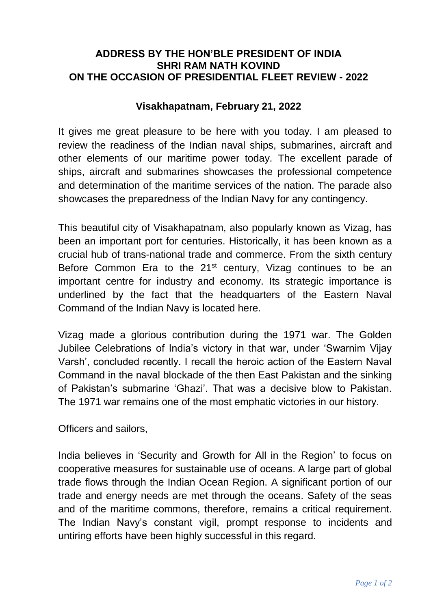## **ADDRESS BY THE HON'BLE PRESIDENT OF INDIA SHRI RAM NATH KOVIND ON THE OCCASION OF PRESIDENTIAL FLEET REVIEW - 2022**

## **Visakhapatnam, February 21, 2022**

It gives me great pleasure to be here with you today. I am pleased to review the readiness of the Indian naval ships, submarines, aircraft and other elements of our maritime power today. The excellent parade of ships, aircraft and submarines showcases the professional competence and determination of the maritime services of the nation. The parade also showcases the preparedness of the Indian Navy for any contingency.

This beautiful city of Visakhapatnam, also popularly known as Vizag, has been an important port for centuries. Historically, it has been known as a crucial hub of trans-national trade and commerce. From the sixth century Before Common Era to the 21<sup>st</sup> century, Vizag continues to be an important centre for industry and economy. Its strategic importance is underlined by the fact that the headquarters of the Eastern Naval Command of the Indian Navy is located here.

Vizag made a glorious contribution during the 1971 war. The Golden Jubilee Celebrations of India's victory in that war, under 'Swarnim Vijay Varsh', concluded recently. I recall the heroic action of the Eastern Naval Command in the naval blockade of the then East Pakistan and the sinking of Pakistan's submarine 'Ghazi'. That was a decisive blow to Pakistan. The 1971 war remains one of the most emphatic victories in our history.

Officers and sailors,

India believes in 'Security and Growth for All in the Region' to focus on cooperative measures for sustainable use of oceans. A large part of global trade flows through the Indian Ocean Region. A significant portion of our trade and energy needs are met through the oceans. Safety of the seas and of the maritime commons, therefore, remains a critical requirement. The Indian Navy's constant vigil, prompt response to incidents and untiring efforts have been highly successful in this regard.